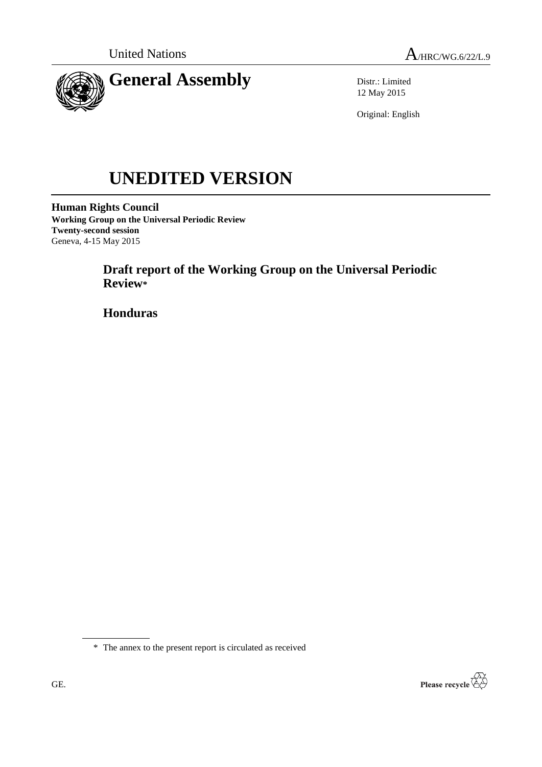

Distr.: Limited 12 May 2015

Original: English

# **UNEDITED VERSION**

**Human Rights Council Working Group on the Universal Periodic Review Twenty-second session** Geneva, 4-15 May 2015

> **Draft report of the Working Group on the Universal Periodic Review\***

**Honduras**

\* The annex to the present report is circulated as received

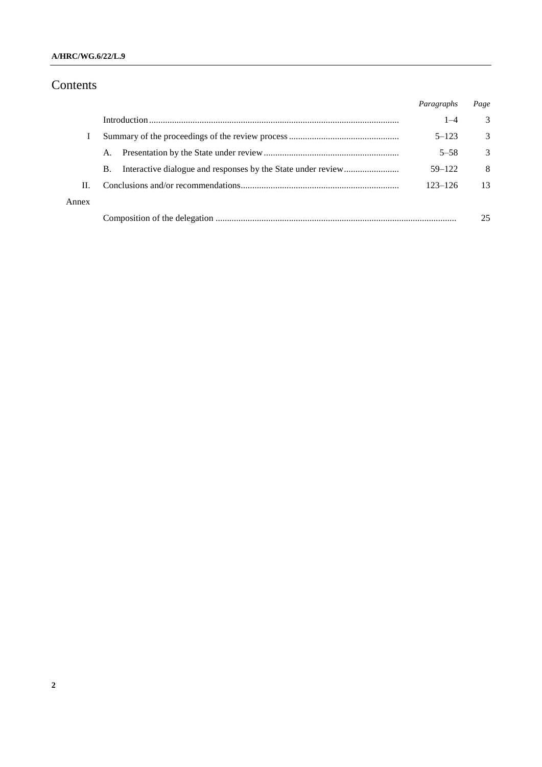## **A/HRC/WG.6/22/L.9**

# Contents

|       |           | Paragraphs  | Page |
|-------|-----------|-------------|------|
|       |           | $1 - 4$     | 3    |
|       |           | $5 - 123$   | 3    |
|       | A.        | $5 - 58$    | 3    |
|       | <b>B.</b> | $59 - 122$  | 8    |
| H.    |           | $123 - 126$ | 13   |
| Annex |           |             |      |
|       |           |             | 25   |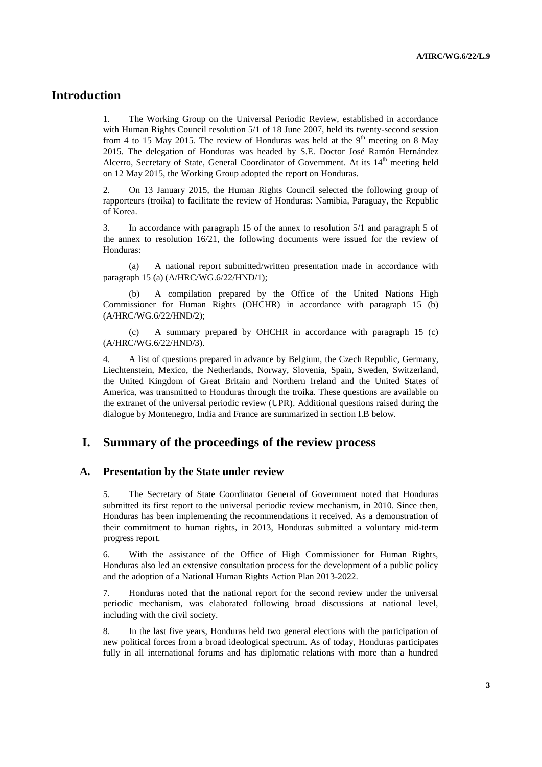# **Introduction**

1. The Working Group on the Universal Periodic Review, established in accordance with Human Rights Council resolution 5/1 of 18 June 2007, held its twenty-second session from 4 to 15 May 2015. The review of Honduras was held at the  $9<sup>th</sup>$  meeting on 8 May 2015. The delegation of Honduras was headed by S.E. Doctor José Ramón Hernández Alcerro, Secretary of State, General Coordinator of Government. At its  $14<sup>th</sup>$  meeting held on 12 May 2015, the Working Group adopted the report on Honduras.

2. On 13 January 2015, the Human Rights Council selected the following group of rapporteurs (troika) to facilitate the review of Honduras: Namibia, Paraguay, the Republic of Korea.

3. In accordance with paragraph 15 of the annex to resolution 5/1 and paragraph 5 of the annex to resolution 16/21, the following documents were issued for the review of Honduras:

(a) A national report submitted/written presentation made in accordance with paragraph 15 (a) (A/HRC/WG.6/22/HND/1);

(b) A compilation prepared by the Office of the United Nations High Commissioner for Human Rights (OHCHR) in accordance with paragraph 15 (b) (A/HRC/WG.6/22/HND/2);

(c) A summary prepared by OHCHR in accordance with paragraph 15 (c) (A/HRC/WG.6/22/HND/3).

4. A list of questions prepared in advance by Belgium, the Czech Republic, Germany, Liechtenstein, Mexico, the Netherlands, Norway, Slovenia, Spain, Sweden, Switzerland, the United Kingdom of Great Britain and Northern Ireland and the United States of America, was transmitted to Honduras through the troika. These questions are available on the extranet of the universal periodic review (UPR). Additional questions raised during the dialogue by Montenegro, India and France are summarized in section I.B below.

## **I. Summary of the proceedings of the review process**

#### **A. Presentation by the State under review**

5. The Secretary of State Coordinator General of Government noted that Honduras submitted its first report to the universal periodic review mechanism, in 2010. Since then, Honduras has been implementing the recommendations it received. As a demonstration of their commitment to human rights, in 2013, Honduras submitted a voluntary mid-term progress report.

6. With the assistance of the Office of High Commissioner for Human Rights, Honduras also led an extensive consultation process for the development of a public policy and the adoption of a National Human Rights Action Plan 2013-2022.

7. Honduras noted that the national report for the second review under the universal periodic mechanism, was elaborated following broad discussions at national level, including with the civil society.

8. In the last five years, Honduras held two general elections with the participation of new political forces from a broad ideological spectrum. As of today, Honduras participates fully in all international forums and has diplomatic relations with more than a hundred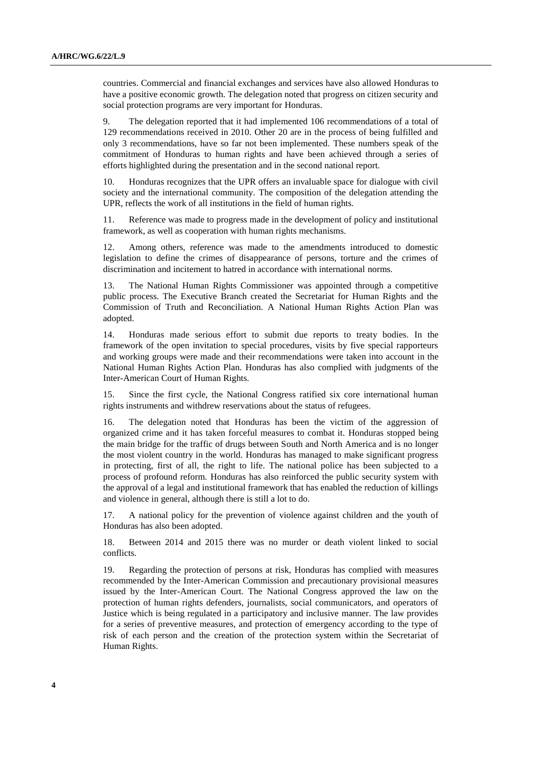countries. Commercial and financial exchanges and services have also allowed Honduras to have a positive economic growth. The delegation noted that progress on citizen security and social protection programs are very important for Honduras.

9. The delegation reported that it had implemented 106 recommendations of a total of 129 recommendations received in 2010. Other 20 are in the process of being fulfilled and only 3 recommendations, have so far not been implemented. These numbers speak of the commitment of Honduras to human rights and have been achieved through a series of efforts highlighted during the presentation and in the second national report.

10. Honduras recognizes that the UPR offers an invaluable space for dialogue with civil society and the international community. The composition of the delegation attending the UPR, reflects the work of all institutions in the field of human rights.

11. Reference was made to progress made in the development of policy and institutional framework, as well as cooperation with human rights mechanisms.

12. Among others, reference was made to the amendments introduced to domestic legislation to define the crimes of disappearance of persons, torture and the crimes of discrimination and incitement to hatred in accordance with international norms.

13. The National Human Rights Commissioner was appointed through a competitive public process. The Executive Branch created the Secretariat for Human Rights and the Commission of Truth and Reconciliation. A National Human Rights Action Plan was adopted.

14. Honduras made serious effort to submit due reports to treaty bodies. In the framework of the open invitation to special procedures, visits by five special rapporteurs and working groups were made and their recommendations were taken into account in the National Human Rights Action Plan. Honduras has also complied with judgments of the Inter-American Court of Human Rights.

15. Since the first cycle, the National Congress ratified six core international human rights instruments and withdrew reservations about the status of refugees.

16. The delegation noted that Honduras has been the victim of the aggression of organized crime and it has taken forceful measures to combat it. Honduras stopped being the main bridge for the traffic of drugs between South and North America and is no longer the most violent country in the world. Honduras has managed to make significant progress in protecting, first of all, the right to life. The national police has been subjected to a process of profound reform. Honduras has also reinforced the public security system with the approval of a legal and institutional framework that has enabled the reduction of killings and violence in general, although there is still a lot to do.

17. A national policy for the prevention of violence against children and the youth of Honduras has also been adopted.

18. Between 2014 and 2015 there was no murder or death violent linked to social conflicts.

19. Regarding the protection of persons at risk, Honduras has complied with measures recommended by the Inter-American Commission and precautionary provisional measures issued by the Inter-American Court. The National Congress approved the law on the protection of human rights defenders, journalists, social communicators, and operators of Justice which is being regulated in a participatory and inclusive manner. The law provides for a series of preventive measures, and protection of emergency according to the type of risk of each person and the creation of the protection system within the Secretariat of Human Rights.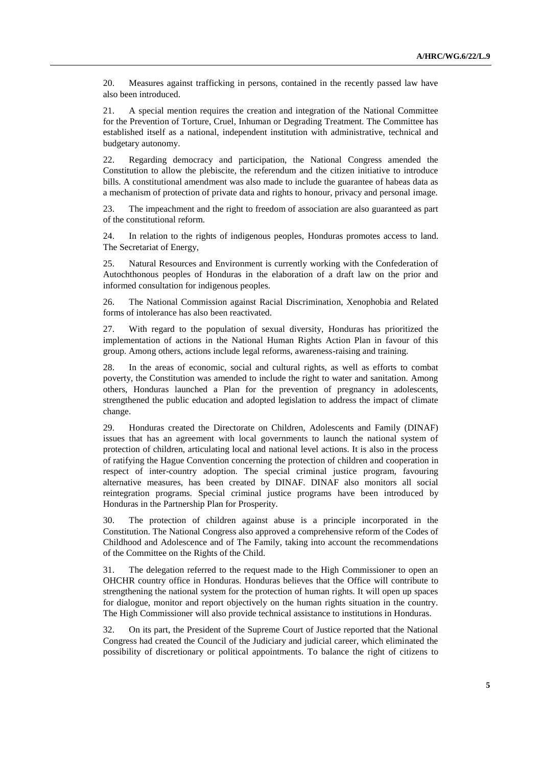20. Measures against trafficking in persons, contained in the recently passed law have also been introduced.

21. A special mention requires the creation and integration of the National Committee for the Prevention of Torture, Cruel, Inhuman or Degrading Treatment. The Committee has established itself as a national, independent institution with administrative, technical and budgetary autonomy.

22. Regarding democracy and participation, the National Congress amended the Constitution to allow the plebiscite, the referendum and the citizen initiative to introduce bills. A constitutional amendment was also made to include the guarantee of habeas data as a mechanism of protection of private data and rights to honour, privacy and personal image.

23. The impeachment and the right to freedom of association are also guaranteed as part of the constitutional reform.

24. In relation to the rights of indigenous peoples, Honduras promotes access to land. The Secretariat of Energy,

25. Natural Resources and Environment is currently working with the Confederation of Autochthonous peoples of Honduras in the elaboration of a draft law on the prior and informed consultation for indigenous peoples.

26. The National Commission against Racial Discrimination, Xenophobia and Related forms of intolerance has also been reactivated.

27. With regard to the population of sexual diversity, Honduras has prioritized the implementation of actions in the National Human Rights Action Plan in favour of this group. Among others, actions include legal reforms, awareness-raising and training.

28. In the areas of economic, social and cultural rights, as well as efforts to combat poverty, the Constitution was amended to include the right to water and sanitation. Among others, Honduras launched a Plan for the prevention of pregnancy in adolescents, strengthened the public education and adopted legislation to address the impact of climate change.

29. Honduras created the Directorate on Children, Adolescents and Family (DINAF) issues that has an agreement with local governments to launch the national system of protection of children, articulating local and national level actions. It is also in the process of ratifying the Hague Convention concerning the protection of children and cooperation in respect of inter-country adoption. The special criminal justice program, favouring alternative measures, has been created by DINAF. DINAF also monitors all social reintegration programs. Special criminal justice programs have been introduced by Honduras in the Partnership Plan for Prosperity.

30. The protection of children against abuse is a principle incorporated in the Constitution. The National Congress also approved a comprehensive reform of the Codes of Childhood and Adolescence and of The Family, taking into account the recommendations of the Committee on the Rights of the Child.

31. The delegation referred to the request made to the High Commissioner to open an OHCHR country office in Honduras. Honduras believes that the Office will contribute to strengthening the national system for the protection of human rights. It will open up spaces for dialogue, monitor and report objectively on the human rights situation in the country. The High Commissioner will also provide technical assistance to institutions in Honduras.

32. On its part, the President of the Supreme Court of Justice reported that the National Congress had created the Council of the Judiciary and judicial career, which eliminated the possibility of discretionary or political appointments. To balance the right of citizens to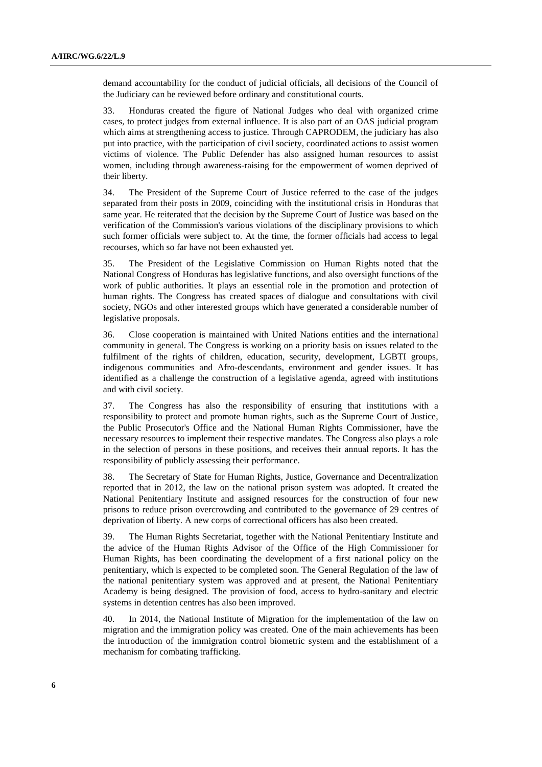demand accountability for the conduct of judicial officials, all decisions of the Council of the Judiciary can be reviewed before ordinary and constitutional courts.

33. Honduras created the figure of National Judges who deal with organized crime cases, to protect judges from external influence. It is also part of an OAS judicial program which aims at strengthening access to justice. Through CAPRODEM, the judiciary has also put into practice, with the participation of civil society, coordinated actions to assist women victims of violence. The Public Defender has also assigned human resources to assist women, including through awareness-raising for the empowerment of women deprived of their liberty.

34. The President of the Supreme Court of Justice referred to the case of the judges separated from their posts in 2009, coinciding with the institutional crisis in Honduras that same year. He reiterated that the decision by the Supreme Court of Justice was based on the verification of the Commission's various violations of the disciplinary provisions to which such former officials were subject to. At the time, the former officials had access to legal recourses, which so far have not been exhausted yet.

35. The President of the Legislative Commission on Human Rights noted that the National Congress of Honduras has legislative functions, and also oversight functions of the work of public authorities. It plays an essential role in the promotion and protection of human rights. The Congress has created spaces of dialogue and consultations with civil society, NGOs and other interested groups which have generated a considerable number of legislative proposals.

36. Close cooperation is maintained with United Nations entities and the international community in general. The Congress is working on a priority basis on issues related to the fulfilment of the rights of children, education, security, development, LGBTI groups, indigenous communities and Afro-descendants, environment and gender issues. It has identified as a challenge the construction of a legislative agenda, agreed with institutions and with civil society.

37. The Congress has also the responsibility of ensuring that institutions with a responsibility to protect and promote human rights, such as the Supreme Court of Justice, the Public Prosecutor's Office and the National Human Rights Commissioner, have the necessary resources to implement their respective mandates. The Congress also plays a role in the selection of persons in these positions, and receives their annual reports. It has the responsibility of publicly assessing their performance.

38. The Secretary of State for Human Rights, Justice, Governance and Decentralization reported that in 2012, the law on the national prison system was adopted. It created the National Penitentiary Institute and assigned resources for the construction of four new prisons to reduce prison overcrowding and contributed to the governance of 29 centres of deprivation of liberty. A new corps of correctional officers has also been created.

39. The Human Rights Secretariat, together with the National Penitentiary Institute and the advice of the Human Rights Advisor of the Office of the High Commissioner for Human Rights, has been coordinating the development of a first national policy on the penitentiary, which is expected to be completed soon. The General Regulation of the law of the national penitentiary system was approved and at present, the National Penitentiary Academy is being designed. The provision of food, access to hydro-sanitary and electric systems in detention centres has also been improved.

40. In 2014, the National Institute of Migration for the implementation of the law on migration and the immigration policy was created. One of the main achievements has been the introduction of the immigration control biometric system and the establishment of a mechanism for combating trafficking.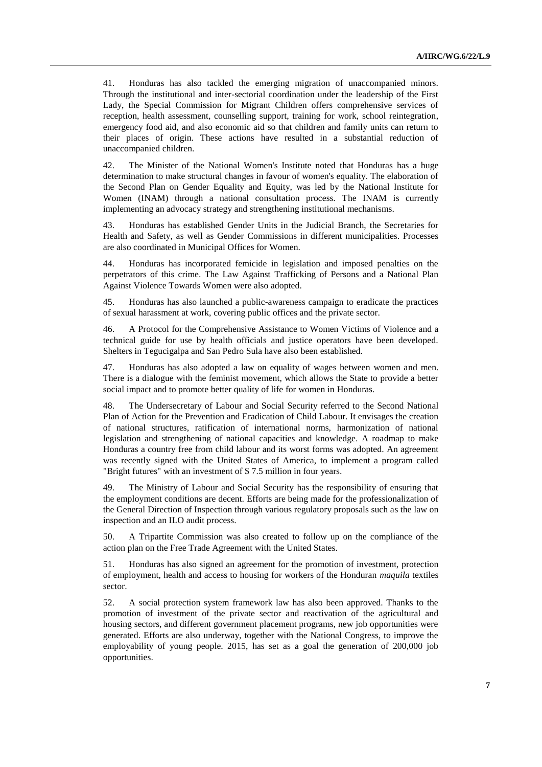41. Honduras has also tackled the emerging migration of unaccompanied minors. Through the institutional and inter-sectorial coordination under the leadership of the First Lady, the Special Commission for Migrant Children offers comprehensive services of reception, health assessment, counselling support, training for work, school reintegration, emergency food aid, and also economic aid so that children and family units can return to their places of origin. These actions have resulted in a substantial reduction of unaccompanied children.

42. The Minister of the National Women's Institute noted that Honduras has a huge determination to make structural changes in favour of women's equality. The elaboration of the Second Plan on Gender Equality and Equity, was led by the National Institute for Women (INAM) through a national consultation process. The INAM is currently implementing an advocacy strategy and strengthening institutional mechanisms.

43. Honduras has established Gender Units in the Judicial Branch, the Secretaries for Health and Safety, as well as Gender Commissions in different municipalities. Processes are also coordinated in Municipal Offices for Women.

44. Honduras has incorporated femicide in legislation and imposed penalties on the perpetrators of this crime. The Law Against Trafficking of Persons and a National Plan Against Violence Towards Women were also adopted.

45. Honduras has also launched a public-awareness campaign to eradicate the practices of sexual harassment at work, covering public offices and the private sector.

46. A Protocol for the Comprehensive Assistance to Women Victims of Violence and a technical guide for use by health officials and justice operators have been developed. Shelters in Tegucigalpa and San Pedro Sula have also been established.

47. Honduras has also adopted a law on equality of wages between women and men. There is a dialogue with the feminist movement, which allows the State to provide a better social impact and to promote better quality of life for women in Honduras.

48. The Undersecretary of Labour and Social Security referred to the Second National Plan of Action for the Prevention and Eradication of Child Labour. It envisages the creation of national structures, ratification of international norms, harmonization of national legislation and strengthening of national capacities and knowledge. A roadmap to make Honduras a country free from child labour and its worst forms was adopted. An agreement was recently signed with the United States of America, to implement a program called "Bright futures" with an investment of \$ 7.5 million in four years.

49. The Ministry of Labour and Social Security has the responsibility of ensuring that the employment conditions are decent. Efforts are being made for the professionalization of the General Direction of Inspection through various regulatory proposals such as the law on inspection and an ILO audit process.

50. A Tripartite Commission was also created to follow up on the compliance of the action plan on the Free Trade Agreement with the United States.

51. Honduras has also signed an agreement for the promotion of investment, protection of employment, health and access to housing for workers of the Honduran *maquila* textiles sector.

52. A social protection system framework law has also been approved. Thanks to the promotion of investment of the private sector and reactivation of the agricultural and housing sectors, and different government placement programs, new job opportunities were generated. Efforts are also underway, together with the National Congress, to improve the employability of young people. 2015, has set as a goal the generation of 200,000 job opportunities.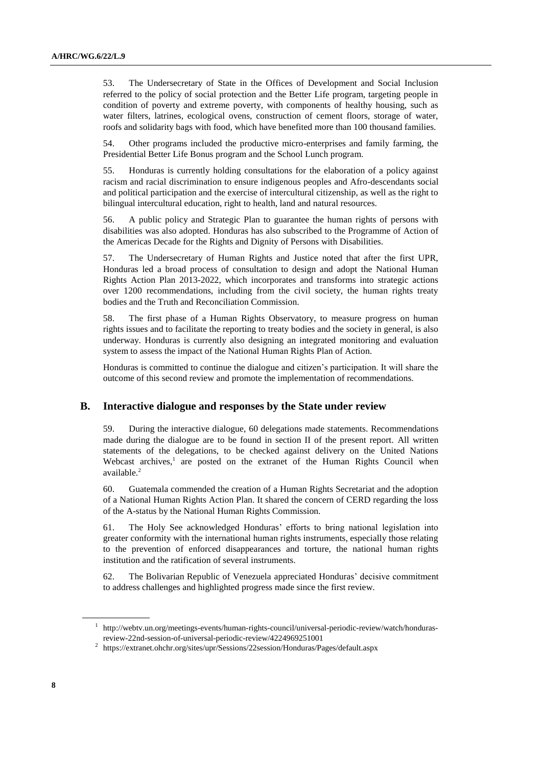53. The Undersecretary of State in the Offices of Development and Social Inclusion referred to the policy of social protection and the Better Life program, targeting people in condition of poverty and extreme poverty, with components of healthy housing, such as water filters, latrines, ecological ovens, construction of cement floors, storage of water, roofs and solidarity bags with food, which have benefited more than 100 thousand families.

54. Other programs included the productive micro-enterprises and family farming, the Presidential Better Life Bonus program and the School Lunch program.

55. Honduras is currently holding consultations for the elaboration of a policy against racism and racial discrimination to ensure indigenous peoples and Afro-descendants social and political participation and the exercise of intercultural citizenship, as well as the right to bilingual intercultural education, right to health, land and natural resources.

56. A public policy and Strategic Plan to guarantee the human rights of persons with disabilities was also adopted. Honduras has also subscribed to the Programme of Action of the Americas Decade for the Rights and Dignity of Persons with Disabilities.

57. The Undersecretary of Human Rights and Justice noted that after the first UPR, Honduras led a broad process of consultation to design and adopt the National Human Rights Action Plan 2013-2022, which incorporates and transforms into strategic actions over 1200 recommendations, including from the civil society, the human rights treaty bodies and the Truth and Reconciliation Commission.

58. The first phase of a Human Rights Observatory, to measure progress on human rights issues and to facilitate the reporting to treaty bodies and the society in general, is also underway. Honduras is currently also designing an integrated monitoring and evaluation system to assess the impact of the National Human Rights Plan of Action.

Honduras is committed to continue the dialogue and citizen's participation. It will share the outcome of this second review and promote the implementation of recommendations.

#### **B. Interactive dialogue and responses by the State under review**

59. During the interactive dialogue, 60 delegations made statements. Recommendations made during the dialogue are to be found in section II of the present report. All written statements of the delegations, to be checked against delivery on the United Nations Webcast archives,<sup>1</sup> are posted on the extranet of the Human Rights Council when available.<sup>2</sup>

60. Guatemala commended the creation of a Human Rights Secretariat and the adoption of a National Human Rights Action Plan. It shared the concern of CERD regarding the loss of the A-status by the National Human Rights Commission.

61. The Holy See acknowledged Honduras' efforts to bring national legislation into greater conformity with the international human rights instruments, especially those relating to the prevention of enforced disappearances and torture, the national human rights institution and the ratification of several instruments.

62. The Bolivarian Republic of Venezuela appreciated Honduras' decisive commitment to address challenges and highlighted progress made since the first review.

<sup>1</sup> http://webtv.un.org/meetings-events/human-rights-council/universal-periodic-review/watch/hondurasreview-22nd-session-of-universal-periodic-review/4224969251001

<sup>&</sup>lt;sup>2</sup> https://extranet.ohchr.org/sites/upr/Sessions/22session/Honduras/Pages/default.aspx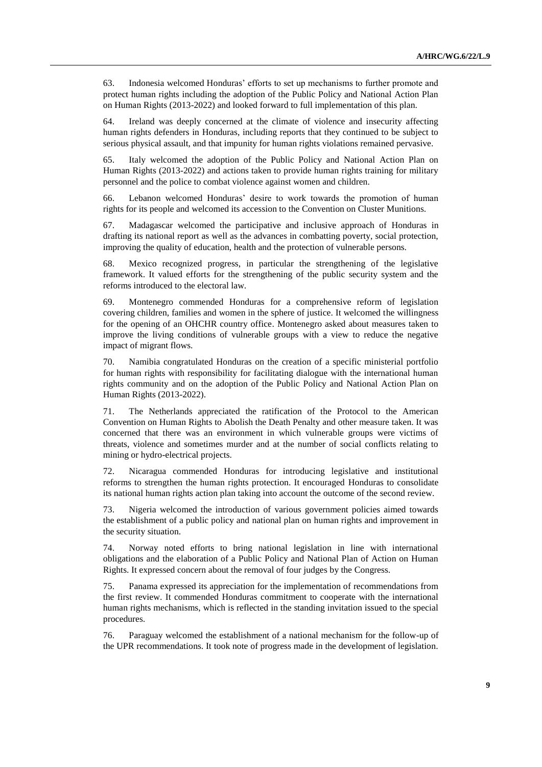63. Indonesia welcomed Honduras' efforts to set up mechanisms to further promote and protect human rights including the adoption of the Public Policy and National Action Plan on Human Rights (2013-2022) and looked forward to full implementation of this plan.

64. Ireland was deeply concerned at the climate of violence and insecurity affecting human rights defenders in Honduras, including reports that they continued to be subject to serious physical assault, and that impunity for human rights violations remained pervasive.

65. Italy welcomed the adoption of the Public Policy and National Action Plan on Human Rights (2013-2022) and actions taken to provide human rights training for military personnel and the police to combat violence against women and children.

66. Lebanon welcomed Honduras' desire to work towards the promotion of human rights for its people and welcomed its accession to the Convention on Cluster Munitions.

67. Madagascar welcomed the participative and inclusive approach of Honduras in drafting its national report as well as the advances in combatting poverty, social protection, improving the quality of education, health and the protection of vulnerable persons.

68. Mexico recognized progress, in particular the strengthening of the legislative framework. It valued efforts for the strengthening of the public security system and the reforms introduced to the electoral law.

69. Montenegro commended Honduras for a comprehensive reform of legislation covering children, families and women in the sphere of justice. It welcomed the willingness for the opening of an OHCHR country office. Montenegro asked about measures taken to improve the living conditions of vulnerable groups with a view to reduce the negative impact of migrant flows.

70. Namibia congratulated Honduras on the creation of a specific ministerial portfolio for human rights with responsibility for facilitating dialogue with the international human rights community and on the adoption of the Public Policy and National Action Plan on Human Rights (2013-2022).

71. The Netherlands appreciated the ratification of the Protocol to the American Convention on Human Rights to Abolish the Death Penalty and other measure taken. It was concerned that there was an environment in which vulnerable groups were victims of threats, violence and sometimes murder and at the number of social conflicts relating to mining or hydro-electrical projects.

72. Nicaragua commended Honduras for introducing legislative and institutional reforms to strengthen the human rights protection. It encouraged Honduras to consolidate its national human rights action plan taking into account the outcome of the second review.

73. Nigeria welcomed the introduction of various government policies aimed towards the establishment of a public policy and national plan on human rights and improvement in the security situation.

74. Norway noted efforts to bring national legislation in line with international obligations and the elaboration of a Public Policy and National Plan of Action on Human Rights. It expressed concern about the removal of four judges by the Congress.

75. Panama expressed its appreciation for the implementation of recommendations from the first review. It commended Honduras commitment to cooperate with the international human rights mechanisms, which is reflected in the standing invitation issued to the special procedures.

76. Paraguay welcomed the establishment of a national mechanism for the follow-up of the UPR recommendations. It took note of progress made in the development of legislation.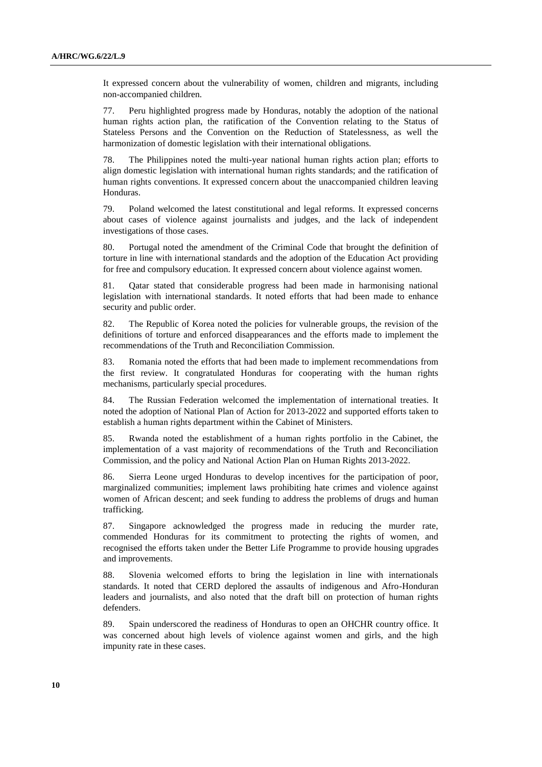It expressed concern about the vulnerability of women, children and migrants, including non-accompanied children.

77. Peru highlighted progress made by Honduras, notably the adoption of the national human rights action plan, the ratification of the Convention relating to the Status of Stateless Persons and the Convention on the Reduction of Statelessness, as well the harmonization of domestic legislation with their international obligations.

78. The Philippines noted the multi-year national human rights action plan; efforts to align domestic legislation with international human rights standards; and the ratification of human rights conventions. It expressed concern about the unaccompanied children leaving Honduras.

79. Poland welcomed the latest constitutional and legal reforms. It expressed concerns about cases of violence against journalists and judges, and the lack of independent investigations of those cases.

80. Portugal noted the amendment of the Criminal Code that brought the definition of torture in line with international standards and the adoption of the Education Act providing for free and compulsory education. It expressed concern about violence against women.

81. Qatar stated that considerable progress had been made in harmonising national legislation with international standards. It noted efforts that had been made to enhance security and public order.

82. The Republic of Korea noted the policies for vulnerable groups, the revision of the definitions of torture and enforced disappearances and the efforts made to implement the recommendations of the Truth and Reconciliation Commission.

83. Romania noted the efforts that had been made to implement recommendations from the first review. It congratulated Honduras for cooperating with the human rights mechanisms, particularly special procedures.

84. The Russian Federation welcomed the implementation of international treaties. It noted the adoption of National Plan of Action for 2013-2022 and supported efforts taken to establish a human rights department within the Cabinet of Ministers.

85. Rwanda noted the establishment of a human rights portfolio in the Cabinet, the implementation of a vast majority of recommendations of the Truth and Reconciliation Commission, and the policy and National Action Plan on Human Rights 2013-2022.

86. Sierra Leone urged Honduras to develop incentives for the participation of poor, marginalized communities; implement laws prohibiting hate crimes and violence against women of African descent; and seek funding to address the problems of drugs and human trafficking.

87. Singapore acknowledged the progress made in reducing the murder rate, commended Honduras for its commitment to protecting the rights of women, and recognised the efforts taken under the Better Life Programme to provide housing upgrades and improvements.

88. Slovenia welcomed efforts to bring the legislation in line with internationals standards. It noted that CERD deplored the assaults of indigenous and Afro-Honduran leaders and journalists, and also noted that the draft bill on protection of human rights defenders.

89. Spain underscored the readiness of Honduras to open an OHCHR country office. It was concerned about high levels of violence against women and girls, and the high impunity rate in these cases.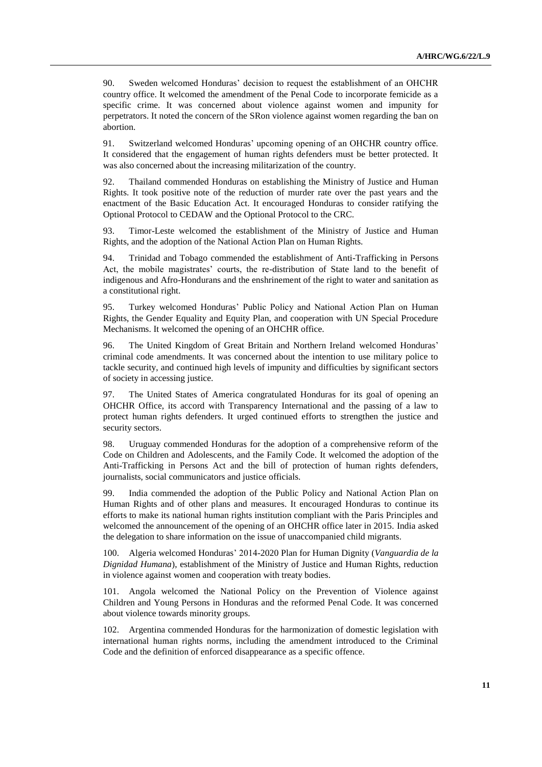90. Sweden welcomed Honduras' decision to request the establishment of an OHCHR country office. It welcomed the amendment of the Penal Code to incorporate femicide as a specific crime. It was concerned about violence against women and impunity for perpetrators. It noted the concern of the SRon violence against women regarding the ban on abortion.

91. Switzerland welcomed Honduras' upcoming opening of an OHCHR country office. It considered that the engagement of human rights defenders must be better protected. It was also concerned about the increasing militarization of the country.

92. Thailand commended Honduras on establishing the Ministry of Justice and Human Rights. It took positive note of the reduction of murder rate over the past years and the enactment of the Basic Education Act. It encouraged Honduras to consider ratifying the Optional Protocol to CEDAW and the Optional Protocol to the CRC.

93. Timor-Leste welcomed the establishment of the Ministry of Justice and Human Rights, and the adoption of the National Action Plan on Human Rights.

94. Trinidad and Tobago commended the establishment of Anti-Trafficking in Persons Act, the mobile magistrates' courts, the re-distribution of State land to the benefit of indigenous and Afro-Hondurans and the enshrinement of the right to water and sanitation as a constitutional right.

95. Turkey welcomed Honduras' Public Policy and National Action Plan on Human Rights, the Gender Equality and Equity Plan, and cooperation with UN Special Procedure Mechanisms. It welcomed the opening of an OHCHR office.

96. The United Kingdom of Great Britain and Northern Ireland welcomed Honduras' criminal code amendments. It was concerned about the intention to use military police to tackle security, and continued high levels of impunity and difficulties by significant sectors of society in accessing justice.

97. The United States of America congratulated Honduras for its goal of opening an OHCHR Office, its accord with Transparency International and the passing of a law to protect human rights defenders. It urged continued efforts to strengthen the justice and security sectors.

98. Uruguay commended Honduras for the adoption of a comprehensive reform of the Code on Children and Adolescents, and the Family Code. It welcomed the adoption of the Anti-Trafficking in Persons Act and the bill of protection of human rights defenders, journalists, social communicators and justice officials.

99. India commended the adoption of the Public Policy and National Action Plan on Human Rights and of other plans and measures. It encouraged Honduras to continue its efforts to make its national human rights institution compliant with the Paris Principles and welcomed the announcement of the opening of an OHCHR office later in 2015. India asked the delegation to share information on the issue of unaccompanied child migrants.

100. Algeria welcomed Honduras' 2014-2020 Plan for Human Dignity (*Vanguardia de la Dignidad Humana*), establishment of the Ministry of Justice and Human Rights, reduction in violence against women and cooperation with treaty bodies.

101. Angola welcomed the National Policy on the Prevention of Violence against Children and Young Persons in Honduras and the reformed Penal Code. It was concerned about violence towards minority groups.

102. Argentina commended Honduras for the harmonization of domestic legislation with international human rights norms, including the amendment introduced to the Criminal Code and the definition of enforced disappearance as a specific offence.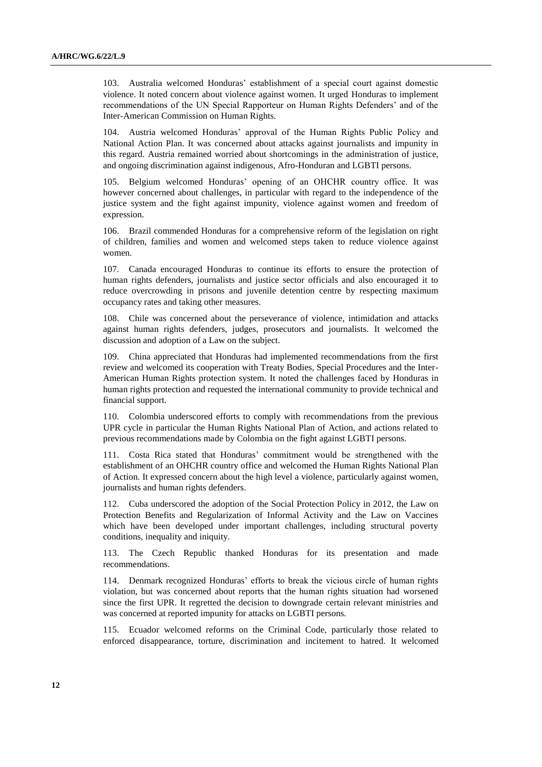103. Australia welcomed Honduras' establishment of a special court against domestic violence. It noted concern about violence against women. It urged Honduras to implement recommendations of the UN Special Rapporteur on Human Rights Defenders' and of the Inter-American Commission on Human Rights.

104. Austria welcomed Honduras' approval of the Human Rights Public Policy and National Action Plan. It was concerned about attacks against journalists and impunity in this regard. Austria remained worried about shortcomings in the administration of justice, and ongoing discrimination against indigenous, Afro-Honduran and LGBTI persons.

105. Belgium welcomed Honduras' opening of an OHCHR country office. It was however concerned about challenges, in particular with regard to the independence of the justice system and the fight against impunity, violence against women and freedom of expression.

106. Brazil commended Honduras for a comprehensive reform of the legislation on right of children, families and women and welcomed steps taken to reduce violence against women.

107. Canada encouraged Honduras to continue its efforts to ensure the protection of human rights defenders, journalists and justice sector officials and also encouraged it to reduce overcrowding in prisons and juvenile detention centre by respecting maximum occupancy rates and taking other measures.

108. Chile was concerned about the perseverance of violence, intimidation and attacks against human rights defenders, judges, prosecutors and journalists. It welcomed the discussion and adoption of a Law on the subject.

109. China appreciated that Honduras had implemented recommendations from the first review and welcomed its cooperation with Treaty Bodies, Special Procedures and the Inter-American Human Rights protection system. It noted the challenges faced by Honduras in human rights protection and requested the international community to provide technical and financial support.

110. Colombia underscored efforts to comply with recommendations from the previous UPR cycle in particular the Human Rights National Plan of Action, and actions related to previous recommendations made by Colombia on the fight against LGBTI persons.

111. Costa Rica stated that Honduras' commitment would be strengthened with the establishment of an OHCHR country office and welcomed the Human Rights National Plan of Action. It expressed concern about the high level a violence, particularly against women, journalists and human rights defenders.

112. Cuba underscored the adoption of the Social Protection Policy in 2012, the Law on Protection Benefits and Regularization of Informal Activity and the Law on Vaccines which have been developed under important challenges, including structural poverty conditions, inequality and iniquity.

113. The Czech Republic thanked Honduras for its presentation and made recommendations.

114. Denmark recognized Honduras' efforts to break the vicious circle of human rights violation, but was concerned about reports that the human rights situation had worsened since the first UPR. It regretted the decision to downgrade certain relevant ministries and was concerned at reported impunity for attacks on LGBTI persons.

115. Ecuador welcomed reforms on the Criminal Code, particularly those related to enforced disappearance, torture, discrimination and incitement to hatred. It welcomed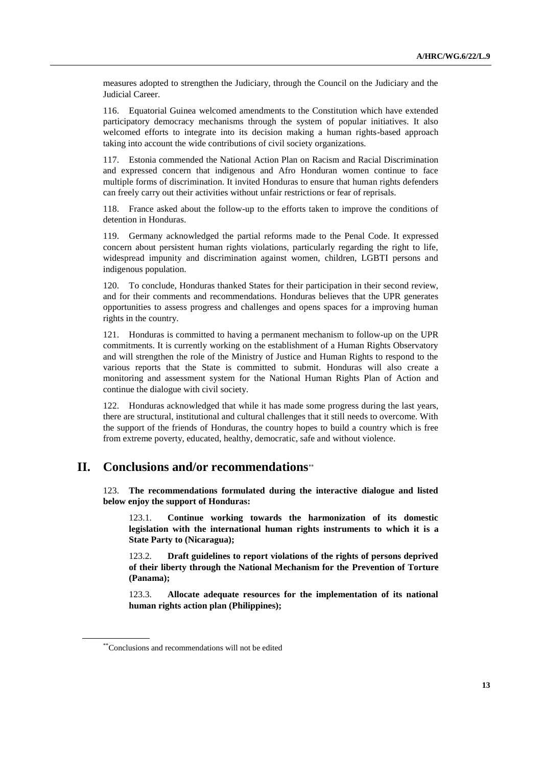measures adopted to strengthen the Judiciary, through the Council on the Judiciary and the Judicial Career.

116. Equatorial Guinea welcomed amendments to the Constitution which have extended participatory democracy mechanisms through the system of popular initiatives. It also welcomed efforts to integrate into its decision making a human rights-based approach taking into account the wide contributions of civil society organizations.

117. Estonia commended the National Action Plan on Racism and Racial Discrimination and expressed concern that indigenous and Afro Honduran women continue to face multiple forms of discrimination. It invited Honduras to ensure that human rights defenders can freely carry out their activities without unfair restrictions or fear of reprisals.

118. France asked about the follow-up to the efforts taken to improve the conditions of detention in Honduras.

119. Germany acknowledged the partial reforms made to the Penal Code. It expressed concern about persistent human rights violations, particularly regarding the right to life, widespread impunity and discrimination against women, children, LGBTI persons and indigenous population.

120. To conclude, Honduras thanked States for their participation in their second review, and for their comments and recommendations. Honduras believes that the UPR generates opportunities to assess progress and challenges and opens spaces for a improving human rights in the country.

121. Honduras is committed to having a permanent mechanism to follow-up on the UPR commitments. It is currently working on the establishment of a Human Rights Observatory and will strengthen the role of the Ministry of Justice and Human Rights to respond to the various reports that the State is committed to submit. Honduras will also create a monitoring and assessment system for the National Human Rights Plan of Action and continue the dialogue with civil society.

122. Honduras acknowledged that while it has made some progress during the last years, there are structural, institutional and cultural challenges that it still needs to overcome. With the support of the friends of Honduras, the country hopes to build a country which is free from extreme poverty, educated, healthy, democratic, safe and without violence.

# **II. Conclusions and/or recommendations**

123. **The recommendations formulated during the interactive dialogue and listed below enjoy the support of Honduras:**

123.1. **Continue working towards the harmonization of its domestic legislation with the international human rights instruments to which it is a State Party to (Nicaragua);**

123.2. **Draft guidelines to report violations of the rights of persons deprived of their liberty through the National Mechanism for the Prevention of Torture (Panama);**

123.3. **Allocate adequate resources for the implementation of its national human rights action plan (Philippines);**

<sup>\*\*</sup>Conclusions and recommendations will not be edited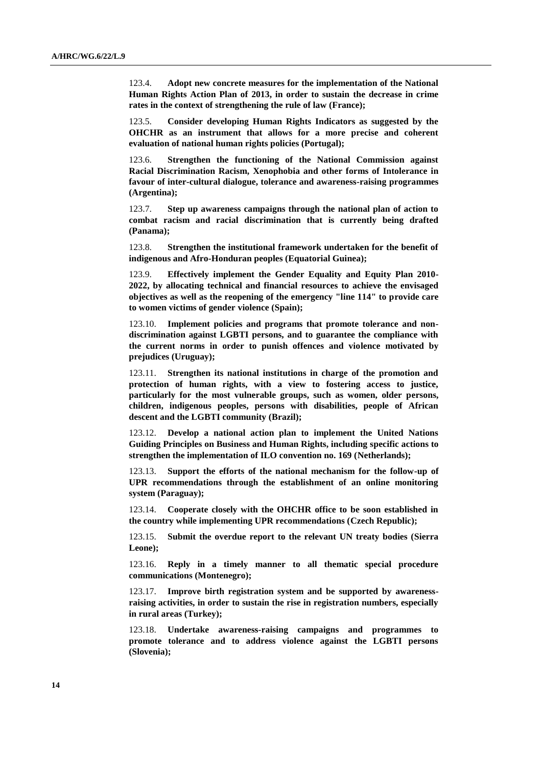123.4. **Adopt new concrete measures for the implementation of the National Human Rights Action Plan of 2013, in order to sustain the decrease in crime rates in the context of strengthening the rule of law (France);**

123.5. **Consider developing Human Rights Indicators as suggested by the OHCHR as an instrument that allows for a more precise and coherent evaluation of national human rights policies (Portugal);**

123.6. **Strengthen the functioning of the National Commission against Racial Discrimination Racism, Xenophobia and other forms of Intolerance in favour of inter-cultural dialogue, tolerance and awareness-raising programmes (Argentina);**

123.7. **Step up awareness campaigns through the national plan of action to combat racism and racial discrimination that is currently being drafted (Panama);**

123.8. **Strengthen the institutional framework undertaken for the benefit of indigenous and Afro-Honduran peoples (Equatorial Guinea);**

123.9. **Effectively implement the Gender Equality and Equity Plan 2010- 2022, by allocating technical and financial resources to achieve the envisaged objectives as well as the reopening of the emergency "line 114" to provide care to women victims of gender violence (Spain);**

123.10. **Implement policies and programs that promote tolerance and nondiscrimination against LGBTI persons, and to guarantee the compliance with the current norms in order to punish offences and violence motivated by prejudices (Uruguay);**

123.11. **Strengthen its national institutions in charge of the promotion and protection of human rights, with a view to fostering access to justice, particularly for the most vulnerable groups, such as women, older persons, children, indigenous peoples, persons with disabilities, people of African descent and the LGBTI community (Brazil);**

123.12. **Develop a national action plan to implement the United Nations Guiding Principles on Business and Human Rights, including specific actions to strengthen the implementation of ILO convention no. 169 (Netherlands);**

123.13. **Support the efforts of the national mechanism for the follow-up of UPR recommendations through the establishment of an online monitoring system (Paraguay);**

123.14. **Cooperate closely with the OHCHR office to be soon established in the country while implementing UPR recommendations (Czech Republic);**

123.15. **Submit the overdue report to the relevant UN treaty bodies (Sierra Leone);**

123.16. **Reply in a timely manner to all thematic special procedure communications (Montenegro);**

123.17. **Improve birth registration system and be supported by awarenessraising activities, in order to sustain the rise in registration numbers, especially in rural areas (Turkey);**

123.18. **Undertake awareness-raising campaigns and programmes to promote tolerance and to address violence against the LGBTI persons (Slovenia);**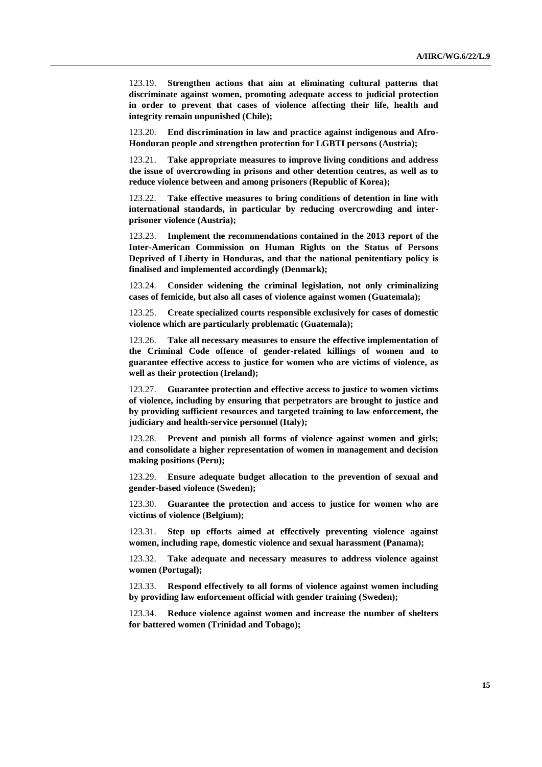123.19. **Strengthen actions that aim at eliminating cultural patterns that discriminate against women, promoting adequate access to judicial protection in order to prevent that cases of violence affecting their life, health and integrity remain unpunished (Chile);**

123.20. **End discrimination in law and practice against indigenous and Afro-Honduran people and strengthen protection for LGBTI persons (Austria);**

123.21. **Take appropriate measures to improve living conditions and address the issue of overcrowding in prisons and other detention centres, as well as to reduce violence between and among prisoners (Republic of Korea);**

123.22. **Take effective measures to bring conditions of detention in line with international standards, in particular by reducing overcrowding and interprisoner violence (Austria);**

123.23. **Implement the recommendations contained in the 2013 report of the Inter-American Commission on Human Rights on the Status of Persons Deprived of Liberty in Honduras, and that the national penitentiary policy is finalised and implemented accordingly (Denmark);**

123.24. **Consider widening the criminal legislation, not only criminalizing cases of femicide, but also all cases of violence against women (Guatemala);**

123.25. **Create specialized courts responsible exclusively for cases of domestic violence which are particularly problematic (Guatemala);**

123.26. **Take all necessary measures to ensure the effective implementation of the Criminal Code offence of gender-related killings of women and to guarantee effective access to justice for women who are victims of violence, as well as their protection (Ireland);**

123.27. **Guarantee protection and effective access to justice to women victims of violence, including by ensuring that perpetrators are brought to justice and by providing sufficient resources and targeted training to law enforcement, the judiciary and health-service personnel (Italy);**

123.28. **Prevent and punish all forms of violence against women and girls; and consolidate a higher representation of women in management and decision making positions (Peru);**

123.29. **Ensure adequate budget allocation to the prevention of sexual and gender-based violence (Sweden);**

123.30. **Guarantee the protection and access to justice for women who are victims of violence (Belgium);**

123.31. **Step up efforts aimed at effectively preventing violence against women, including rape, domestic violence and sexual harassment (Panama);**

123.32. **Take adequate and necessary measures to address violence against women (Portugal);**

123.33. **Respond effectively to all forms of violence against women including by providing law enforcement official with gender training (Sweden);**

123.34. **Reduce violence against women and increase the number of shelters for battered women (Trinidad and Tobago);**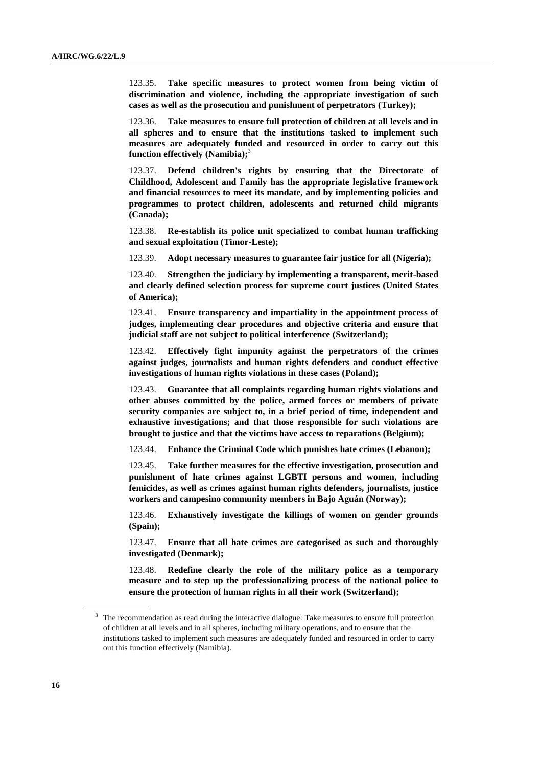123.35. **Take specific measures to protect women from being victim of discrimination and violence, including the appropriate investigation of such cases as well as the prosecution and punishment of perpetrators (Turkey);**

123.36. **Take measures to ensure full protection of children at all levels and in all spheres and to ensure that the institutions tasked to implement such measures are adequately funded and resourced in order to carry out this function effectively (Namibia);** 3

123.37. **Defend children's rights by ensuring that the Directorate of Childhood, Adolescent and Family has the appropriate legislative framework and financial resources to meet its mandate, and by implementing policies and programmes to protect children, adolescents and returned child migrants (Canada);**

123.38. **Re-establish its police unit specialized to combat human trafficking and sexual exploitation (Timor-Leste);**

123.39. **Adopt necessary measures to guarantee fair justice for all (Nigeria);**

123.40. **Strengthen the judiciary by implementing a transparent, merit-based and clearly defined selection process for supreme court justices (United States of America);**

123.41. **Ensure transparency and impartiality in the appointment process of judges, implementing clear procedures and objective criteria and ensure that judicial staff are not subject to political interference (Switzerland);**

123.42. **Effectively fight impunity against the perpetrators of the crimes against judges, journalists and human rights defenders and conduct effective investigations of human rights violations in these cases (Poland);**

123.43. **Guarantee that all complaints regarding human rights violations and other abuses committed by the police, armed forces or members of private security companies are subject to, in a brief period of time, independent and exhaustive investigations; and that those responsible for such violations are brought to justice and that the victims have access to reparations (Belgium);**

123.44. **Enhance the Criminal Code which punishes hate crimes (Lebanon);**

123.45. **Take further measures for the effective investigation, prosecution and punishment of hate crimes against LGBTI persons and women, including femicides, as well as crimes against human rights defenders, journalists, justice workers and campesino community members in Bajo Aguán (Norway);**

123.46. **Exhaustively investigate the killings of women on gender grounds (Spain);**

123.47. **Ensure that all hate crimes are categorised as such and thoroughly investigated (Denmark);**

123.48. **Redefine clearly the role of the military police as a temporary measure and to step up the professionalizing process of the national police to ensure the protection of human rights in all their work (Switzerland);**

<sup>&</sup>lt;sup>3</sup> The recommendation as read during the interactive dialogue: Take measures to ensure full protection of children at all levels and in all spheres, including military operations, and to ensure that the institutions tasked to implement such measures are adequately funded and resourced in order to carry out this function effectively (Namibia).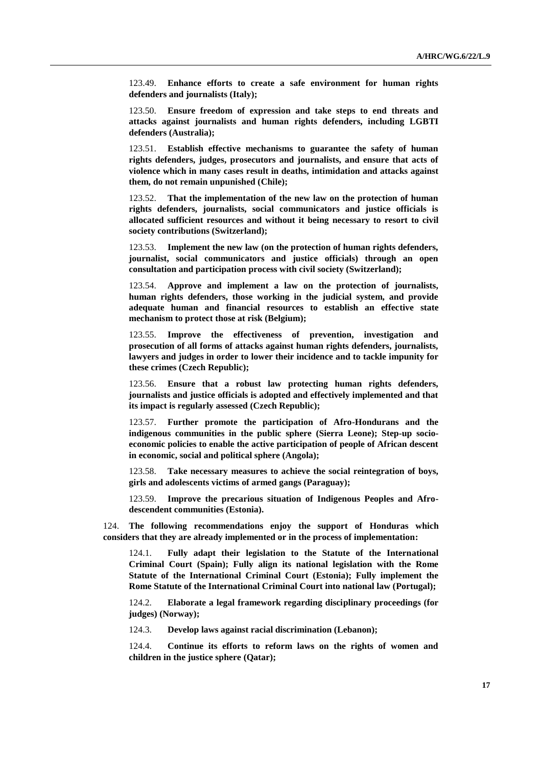123.49. **Enhance efforts to create a safe environment for human rights defenders and journalists (Italy);**

123.50. **Ensure freedom of expression and take steps to end threats and attacks against journalists and human rights defenders, including LGBTI defenders (Australia);**

123.51. **Establish effective mechanisms to guarantee the safety of human rights defenders, judges, prosecutors and journalists, and ensure that acts of violence which in many cases result in deaths, intimidation and attacks against them, do not remain unpunished (Chile);**

123.52. **That the implementation of the new law on the protection of human rights defenders, journalists, social communicators and justice officials is allocated sufficient resources and without it being necessary to resort to civil society contributions (Switzerland);** 

123.53. **Implement the new law (on the protection of human rights defenders, journalist, social communicators and justice officials) through an open consultation and participation process with civil society (Switzerland);**

123.54. **Approve and implement a law on the protection of journalists, human rights defenders, those working in the judicial system, and provide adequate human and financial resources to establish an effective state mechanism to protect those at risk (Belgium);**

123.55. **Improve the effectiveness of prevention, investigation and prosecution of all forms of attacks against human rights defenders, journalists, lawyers and judges in order to lower their incidence and to tackle impunity for these crimes (Czech Republic);**

123.56. **Ensure that a robust law protecting human rights defenders, journalists and justice officials is adopted and effectively implemented and that its impact is regularly assessed (Czech Republic);**

123.57. **Further promote the participation of Afro-Hondurans and the indigenous communities in the public sphere (Sierra Leone); Step-up socioeconomic policies to enable the active participation of people of African descent in economic, social and political sphere (Angola);**

123.58. **Take necessary measures to achieve the social reintegration of boys, girls and adolescents victims of armed gangs (Paraguay);**

123.59. **Improve the precarious situation of Indigenous Peoples and Afrodescendent communities (Estonia).**

124. **The following recommendations enjoy the support of Honduras which considers that they are already implemented or in the process of implementation:**

124.1. **Fully adapt their legislation to the Statute of the International Criminal Court (Spain); Fully align its national legislation with the Rome Statute of the International Criminal Court (Estonia); Fully implement the Rome Statute of the International Criminal Court into national law (Portugal);**

124.2. **Elaborate a legal framework regarding disciplinary proceedings (for judges) (Norway);**

124.3. **Develop laws against racial discrimination (Lebanon);**

124.4. **Continue its efforts to reform laws on the rights of women and children in the justice sphere (Qatar);**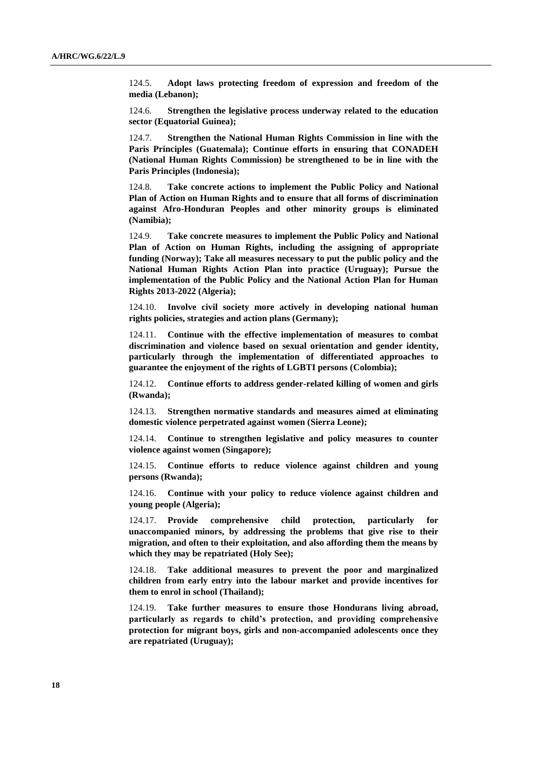124.5. **Adopt laws protecting freedom of expression and freedom of the media (Lebanon);**

124.6. **Strengthen the legislative process underway related to the education sector (Equatorial Guinea);**

124.7. **Strengthen the National Human Rights Commission in line with the Paris Principles (Guatemala); Continue efforts in ensuring that CONADEH (National Human Rights Commission) be strengthened to be in line with the Paris Principles (Indonesia);**

124.8. **Take concrete actions to implement the Public Policy and National Plan of Action on Human Rights and to ensure that all forms of discrimination against Afro-Honduran Peoples and other minority groups is eliminated (Namibia);**

124.9. **Take concrete measures to implement the Public Policy and National Plan of Action on Human Rights, including the assigning of appropriate funding (Norway); Take all measures necessary to put the public policy and the National Human Rights Action Plan into practice (Uruguay); Pursue the implementation of the Public Policy and the National Action Plan for Human Rights 2013-2022 (Algeria);**

124.10. **Involve civil society more actively in developing national human rights policies, strategies and action plans (Germany);**

124.11. **Continue with the effective implementation of measures to combat discrimination and violence based on sexual orientation and gender identity, particularly through the implementation of differentiated approaches to guarantee the enjoyment of the rights of LGBTI persons (Colombia);**

124.12. **Continue efforts to address gender-related killing of women and girls (Rwanda);**

124.13. **Strengthen normative standards and measures aimed at eliminating domestic violence perpetrated against women (Sierra Leone);**

124.14. **Continue to strengthen legislative and policy measures to counter violence against women (Singapore);**

124.15. **Continue efforts to reduce violence against children and young persons (Rwanda);**

124.16. **Continue with your policy to reduce violence against children and young people (Algeria);**

124.17. **Provide comprehensive child protection, particularly for unaccompanied minors, by addressing the problems that give rise to their migration, and often to their exploitation, and also affording them the means by which they may be repatriated (Holy See);**

124.18. **Take additional measures to prevent the poor and marginalized children from early entry into the labour market and provide incentives for them to enrol in school (Thailand);**

124.19. **Take further measures to ensure those Hondurans living abroad, particularly as regards to child's protection, and providing comprehensive protection for migrant boys, girls and non-accompanied adolescents once they are repatriated (Uruguay);**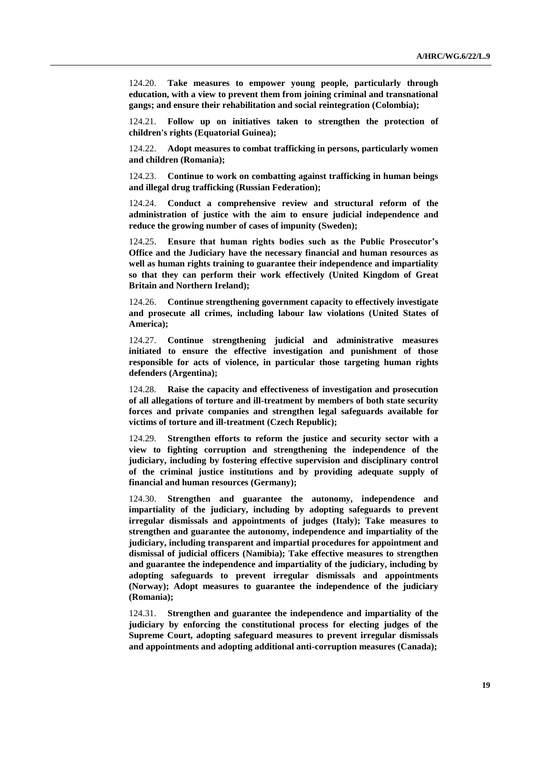124.20. **Take measures to empower young people, particularly through education, with a view to prevent them from joining criminal and transnational gangs; and ensure their rehabilitation and social reintegration (Colombia);**

124.21. **Follow up on initiatives taken to strengthen the protection of children's rights (Equatorial Guinea);**

124.22. **Adopt measures to combat trafficking in persons, particularly women and children (Romania);**

124.23. **Continue to work on combatting against trafficking in human beings and illegal drug trafficking (Russian Federation);**

124.24. **Conduct a comprehensive review and structural reform of the administration of justice with the aim to ensure judicial independence and reduce the growing number of cases of impunity (Sweden);**

124.25. **Ensure that human rights bodies such as the Public Prosecutor's Office and the Judiciary have the necessary financial and human resources as well as human rights training to guarantee their independence and impartiality so that they can perform their work effectively (United Kingdom of Great Britain and Northern Ireland);**

124.26. **Continue strengthening government capacity to effectively investigate and prosecute all crimes, including labour law violations (United States of America);**

124.27. **Continue strengthening judicial and administrative measures initiated to ensure the effective investigation and punishment of those responsible for acts of violence, in particular those targeting human rights defenders (Argentina);**

124.28. **Raise the capacity and effectiveness of investigation and prosecution of all allegations of torture and ill-treatment by members of both state security forces and private companies and strengthen legal safeguards available for victims of torture and ill-treatment (Czech Republic);**

124.29. **Strengthen efforts to reform the justice and security sector with a view to fighting corruption and strengthening the independence of the judiciary, including by fostering effective supervision and disciplinary control of the criminal justice institutions and by providing adequate supply of financial and human resources (Germany);**

124.30. **Strengthen and guarantee the autonomy, independence and impartiality of the judiciary, including by adopting safeguards to prevent irregular dismissals and appointments of judges (Italy); Take measures to strengthen and guarantee the autonomy, independence and impartiality of the judiciary, including transparent and impartial procedures for appointment and dismissal of judicial officers (Namibia); Take effective measures to strengthen and guarantee the independence and impartiality of the judiciary, including by adopting safeguards to prevent irregular dismissals and appointments (Norway); Adopt measures to guarantee the independence of the judiciary (Romania);**

124.31. **Strengthen and guarantee the independence and impartiality of the judiciary by enforcing the constitutional process for electing judges of the Supreme Court, adopting safeguard measures to prevent irregular dismissals and appointments and adopting additional anti-corruption measures (Canada);**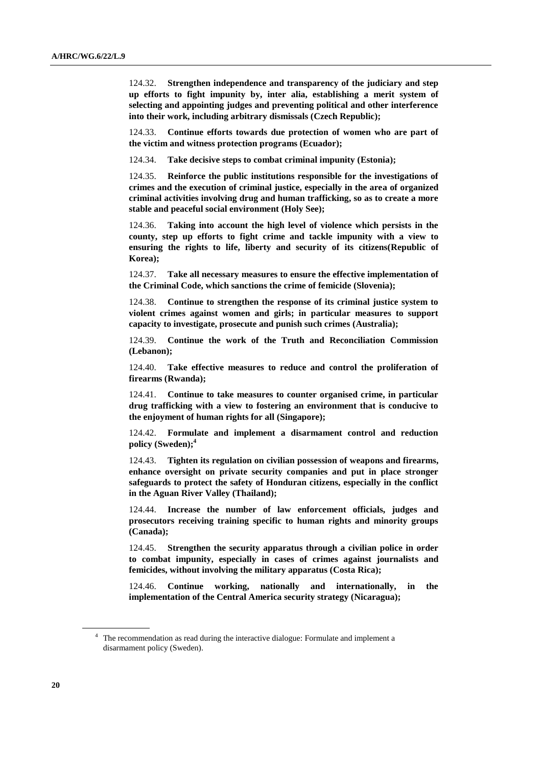124.32. **Strengthen independence and transparency of the judiciary and step up efforts to fight impunity by, inter alia, establishing a merit system of selecting and appointing judges and preventing political and other interference into their work, including arbitrary dismissals (Czech Republic);**

124.33. **Continue efforts towards due protection of women who are part of the victim and witness protection programs (Ecuador);**

124.34. **Take decisive steps to combat criminal impunity (Estonia);**

124.35. **Reinforce the public institutions responsible for the investigations of crimes and the execution of criminal justice, especially in the area of organized criminal activities involving drug and human trafficking, so as to create a more stable and peaceful social environment (Holy See);**

124.36. **Taking into account the high level of violence which persists in the county, step up efforts to fight crime and tackle impunity with a view to ensuring the rights to life, liberty and security of its citizens(Republic of Korea);**

124.37. **Take all necessary measures to ensure the effective implementation of the Criminal Code, which sanctions the crime of femicide (Slovenia);**

124.38. **Continue to strengthen the response of its criminal justice system to violent crimes against women and girls; in particular measures to support capacity to investigate, prosecute and punish such crimes (Australia);**

124.39. **Continue the work of the Truth and Reconciliation Commission (Lebanon);**

124.40. **Take effective measures to reduce and control the proliferation of firearms (Rwanda);**

124.41. **Continue to take measures to counter organised crime, in particular drug trafficking with a view to fostering an environment that is conducive to the enjoyment of human rights for all (Singapore);**

124.42. **Formulate and implement a disarmament control and reduction policy (Sweden); 4**

124.43. **Tighten its regulation on civilian possession of weapons and firearms, enhance oversight on private security companies and put in place stronger safeguards to protect the safety of Honduran citizens, especially in the conflict in the Aguan River Valley (Thailand);**

124.44. **Increase the number of law enforcement officials, judges and prosecutors receiving training specific to human rights and minority groups (Canada);**

124.45. **Strengthen the security apparatus through a civilian police in order to combat impunity, especially in cases of crimes against journalists and femicides, without involving the military apparatus (Costa Rica);**

124.46. **Continue working, nationally and internationally, in the implementation of the Central America security strategy (Nicaragua);**

<sup>&</sup>lt;sup>4</sup> The recommendation as read during the interactive dialogue: Formulate and implement a disarmament policy (Sweden).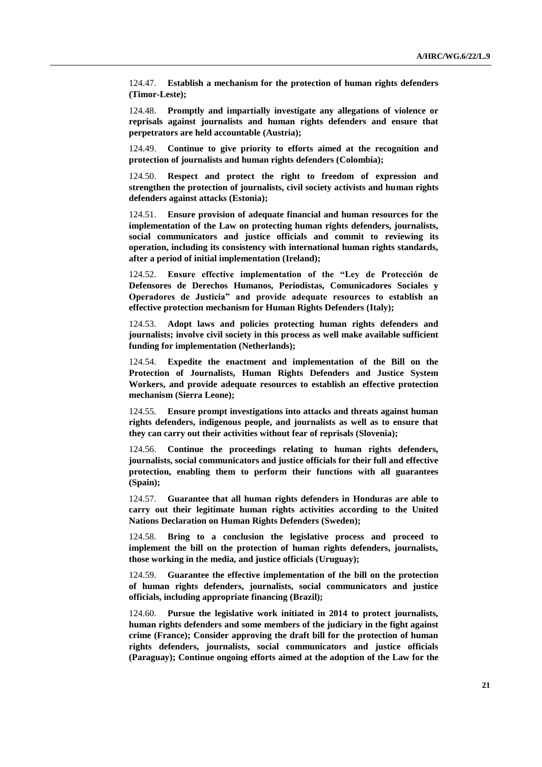124.47. **Establish a mechanism for the protection of human rights defenders (Timor-Leste);**

124.48. **Promptly and impartially investigate any allegations of violence or reprisals against journalists and human rights defenders and ensure that perpetrators are held accountable (Austria);**

124.49. **Continue to give priority to efforts aimed at the recognition and protection of journalists and human rights defenders (Colombia);**

124.50. **Respect and protect the right to freedom of expression and strengthen the protection of journalists, civil society activists and human rights defenders against attacks (Estonia);**

124.51. **Ensure provision of adequate financial and human resources for the implementation of the Law on protecting human rights defenders, journalists, social communicators and justice officials and commit to reviewing its operation, including its consistency with international human rights standards, after a period of initial implementation (Ireland);**

124.52. **Ensure effective implementation of the "Ley de Protección de Defensores de Derechos Humanos, Periodistas, Comunicadores Sociales y Operadores de Justicia" and provide adequate resources to establish an effective protection mechanism for Human Rights Defenders (Italy);**

124.53. **Adopt laws and policies protecting human rights defenders and journalists; involve civil society in this process as well make available sufficient funding for implementation (Netherlands);**

124.54. **Expedite the enactment and implementation of the Bill on the Protection of Journalists, Human Rights Defenders and Justice System Workers, and provide adequate resources to establish an effective protection mechanism (Sierra Leone);**

124.55. **Ensure prompt investigations into attacks and threats against human rights defenders, indigenous people, and journalists as well as to ensure that they can carry out their activities without fear of reprisals (Slovenia);**

124.56. **Continue the proceedings relating to human rights defenders, journalists, social communicators and justice officials for their full and effective protection, enabling them to perform their functions with all guarantees (Spain);**

124.57. **Guarantee that all human rights defenders in Honduras are able to carry out their legitimate human rights activities according to the United Nations Declaration on Human Rights Defenders (Sweden);**

124.58. **Bring to a conclusion the legislative process and proceed to implement the bill on the protection of human rights defenders, journalists, those working in the media, and justice officials (Uruguay);**

124.59. **Guarantee the effective implementation of the bill on the protection of human rights defenders, journalists, social communicators and justice officials, including appropriate financing (Brazil);**

124.60. **Pursue the legislative work initiated in 2014 to protect journalists, human rights defenders and some members of the judiciary in the fight against crime (France); Consider approving the draft bill for the protection of human rights defenders, journalists, social communicators and justice officials (Paraguay); Continue ongoing efforts aimed at the adoption of the Law for the**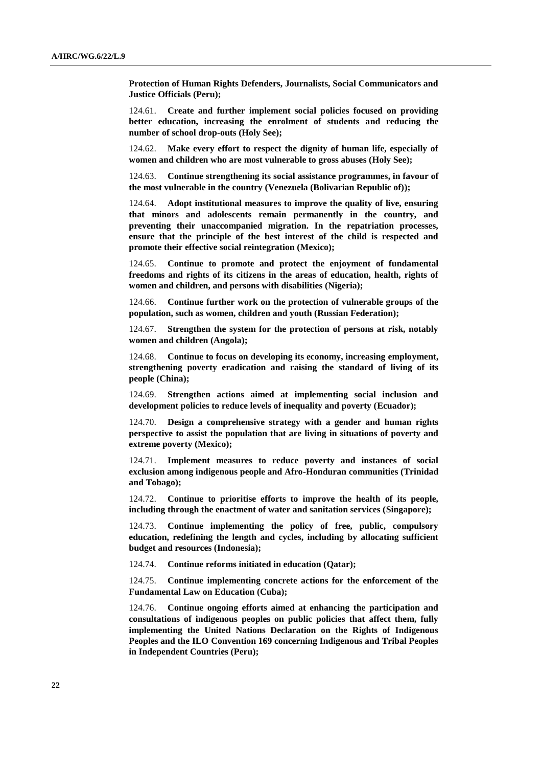**Protection of Human Rights Defenders, Journalists, Social Communicators and Justice Officials (Peru);**

124.61. **Create and further implement social policies focused on providing better education, increasing the enrolment of students and reducing the number of school drop-outs (Holy See);**

124.62. **Make every effort to respect the dignity of human life, especially of women and children who are most vulnerable to gross abuses (Holy See);**

124.63. **Continue strengthening its social assistance programmes, in favour of the most vulnerable in the country (Venezuela (Bolivarian Republic of));**

124.64. **Adopt institutional measures to improve the quality of live, ensuring that minors and adolescents remain permanently in the country, and preventing their unaccompanied migration. In the repatriation processes, ensure that the principle of the best interest of the child is respected and promote their effective social reintegration (Mexico);**

124.65. **Continue to promote and protect the enjoyment of fundamental freedoms and rights of its citizens in the areas of education, health, rights of women and children, and persons with disabilities (Nigeria);**

124.66. **Continue further work on the protection of vulnerable groups of the population, such as women, children and youth (Russian Federation);**

124.67. **Strengthen the system for the protection of persons at risk, notably women and children (Angola);**

124.68. **Continue to focus on developing its economy, increasing employment, strengthening poverty eradication and raising the standard of living of its people (China);**

124.69. **Strengthen actions aimed at implementing social inclusion and development policies to reduce levels of inequality and poverty (Ecuador);**

124.70. **Design a comprehensive strategy with a gender and human rights perspective to assist the population that are living in situations of poverty and extreme poverty (Mexico);**

124.71. **Implement measures to reduce poverty and instances of social exclusion among indigenous people and Afro-Honduran communities (Trinidad and Tobago);**

124.72. **Continue to prioritise efforts to improve the health of its people, including through the enactment of water and sanitation services (Singapore);**

124.73. **Continue implementing the policy of free, public, compulsory education, redefining the length and cycles, including by allocating sufficient budget and resources (Indonesia);**

124.74. **Continue reforms initiated in education (Qatar);**

124.75. **Continue implementing concrete actions for the enforcement of the Fundamental Law on Education (Cuba);**

124.76. **Continue ongoing efforts aimed at enhancing the participation and consultations of indigenous peoples on public policies that affect them, fully implementing the United Nations Declaration on the Rights of Indigenous Peoples and the ILO Convention 169 concerning Indigenous and Tribal Peoples in Independent Countries (Peru);**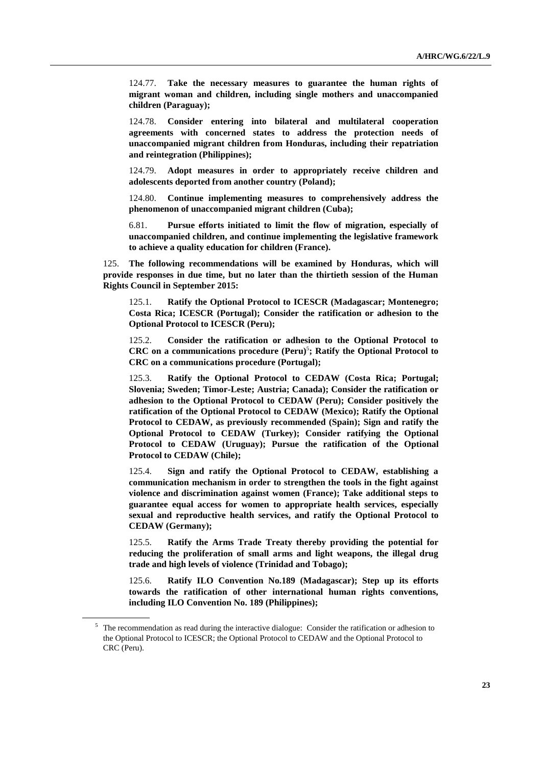124.77. **Take the necessary measures to guarantee the human rights of migrant woman and children, including single mothers and unaccompanied children (Paraguay);**

124.78. **Consider entering into bilateral and multilateral cooperation agreements with concerned states to address the protection needs of unaccompanied migrant children from Honduras, including their repatriation and reintegration (Philippines);**

124.79. **Adopt measures in order to appropriately receive children and adolescents deported from another country (Poland);**

124.80. **Continue implementing measures to comprehensively address the phenomenon of unaccompanied migrant children (Cuba);**

6.81. **Pursue efforts initiated to limit the flow of migration, especially of unaccompanied children, and continue implementing the legislative framework to achieve a quality education for children (France).**

125. **The following recommendations will be examined by Honduras, which will provide responses in due time, but no later than the thirtieth session of the Human Rights Council in September 2015:**

125.1. **Ratify the Optional Protocol to ICESCR (Madagascar; Montenegro; Costa Rica; ICESCR (Portugal); Consider the ratification or adhesion to the Optional Protocol to ICESCR (Peru);** 

125.2. **Consider the ratification or adhesion to the Optional Protocol to CRC on a communications procedure (Peru)** 5 **; Ratify the Optional Protocol to CRC on a communications procedure (Portugal);**

125.3. **Ratify the Optional Protocol to CEDAW (Costa Rica; Portugal; Slovenia; Sweden; Timor-Leste; Austria; Canada); Consider the ratification or adhesion to the Optional Protocol to CEDAW (Peru); Consider positively the ratification of the Optional Protocol to CEDAW (Mexico); Ratify the Optional Protocol to CEDAW, as previously recommended (Spain); Sign and ratify the Optional Protocol to CEDAW (Turkey); Consider ratifying the Optional Protocol to CEDAW (Uruguay); Pursue the ratification of the Optional Protocol to CEDAW (Chile);**

125.4. **Sign and ratify the Optional Protocol to CEDAW, establishing a communication mechanism in order to strengthen the tools in the fight against violence and discrimination against women (France); Take additional steps to guarantee equal access for women to appropriate health services, especially sexual and reproductive health services, and ratify the Optional Protocol to CEDAW (Germany);**

125.5. **Ratify the Arms Trade Treaty thereby providing the potential for reducing the proliferation of small arms and light weapons, the illegal drug trade and high levels of violence (Trinidad and Tobago);**

125.6. **Ratify ILO Convention No.189 (Madagascar); Step up its efforts towards the ratification of other international human rights conventions, including ILO Convention No. 189 (Philippines);**

<sup>5</sup> The recommendation as read during the interactive dialogue: Consider the ratification or adhesion to the Optional Protocol to ICESCR; the Optional Protocol to CEDAW and the Optional Protocol to CRC (Peru).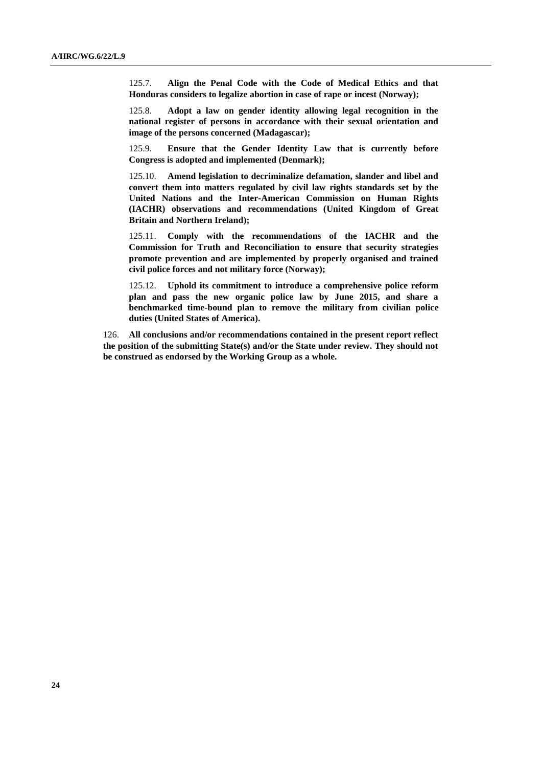125.7. **Align the Penal Code with the Code of Medical Ethics and that Honduras considers to legalize abortion in case of rape or incest (Norway);**

125.8. **Adopt a law on gender identity allowing legal recognition in the national register of persons in accordance with their sexual orientation and image of the persons concerned (Madagascar);**

125.9. **Ensure that the Gender Identity Law that is currently before Congress is adopted and implemented (Denmark);**

125.10. **Amend legislation to decriminalize defamation, slander and libel and convert them into matters regulated by civil law rights standards set by the United Nations and the Inter-American Commission on Human Rights (IACHR) observations and recommendations (United Kingdom of Great Britain and Northern Ireland);**

125.11. **Comply with the recommendations of the IACHR and the Commission for Truth and Reconciliation to ensure that security strategies promote prevention and are implemented by properly organised and trained civil police forces and not military force (Norway);**

125.12. **Uphold its commitment to introduce a comprehensive police reform plan and pass the new organic police law by June 2015, and share a benchmarked time-bound plan to remove the military from civilian police duties (United States of America).**

126. **All conclusions and/or recommendations contained in the present report reflect the position of the submitting State(s) and/or the State under review. They should not be construed as endorsed by the Working Group as a whole.**